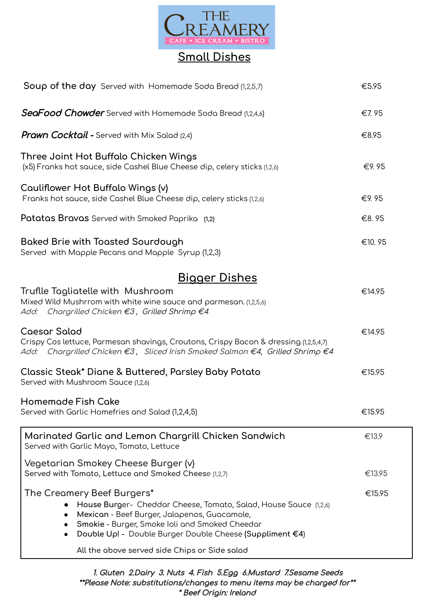

## **Small Dishes**

| <b>Soup of the day</b> Served with Homemade Soda Bread (1,2,5,7)                                                                                                                                                                                             |        |  |
|--------------------------------------------------------------------------------------------------------------------------------------------------------------------------------------------------------------------------------------------------------------|--------|--|
| SeaFood Chowder Served with Homemade Soda Bread (1,2,4,6)                                                                                                                                                                                                    | €7.95  |  |
| <b>Prawn Cocktail -</b> Served with Mix Salad (2,4)                                                                                                                                                                                                          | €8.95  |  |
| Three Joint Hot Buffalo Chicken Wings<br>(x5) Franks hot sauce, side Cashel Blue Cheese dip, celery sticks (1,2,6)                                                                                                                                           | €9.95  |  |
| Cauliflower Hot Buffalo Wings (v)<br>Franks hot sauce, side Cashel Blue Cheese dip, celery sticks (1,2,6)                                                                                                                                                    | €9.95  |  |
| Patatas Bravas Served with Smoked Paprika (1,2)                                                                                                                                                                                                              | €8.95  |  |
| Baked Brie with Toasted Sourdough<br>Served with Mapple Pecans and Mapple Syrup (1,2,3)                                                                                                                                                                      | €10.95 |  |
| <u>Bigger Dishes</u>                                                                                                                                                                                                                                         |        |  |
| Truflle Tagliatelle with Mushroom<br>Mixed Wild Mushrrom with white wine sauce and parmesan. (1,2,5,6)<br>Add: Chargrilled Chicken €3, Grilled Shrimp €4                                                                                                     | €14.95 |  |
| Caesar Salad<br>Crispy Cos lettuce, Parmesan shavings, Croutons, Crispy Bacon & dressing (1,2,5,4,7)<br>Add: Chargrilled Chicken €3, Sliced Irish Smoked Salmon €4, Grilled Shrimp €4                                                                        | €14.95 |  |
| Classic Steak* Diane & Buttered, Parsley Baby Potato<br>Served with Mushroom Sauce (1,2,6)                                                                                                                                                                   | €15.95 |  |
| <b>Homemade Fish Cake</b><br>Served with Garlic Homefries and Salad (1,2,4,5)                                                                                                                                                                                | €15.95 |  |
| Marinated Garlic and Lemon Chargrill Chicken Sandwich<br>Served with Garlic Mayo, Tomato, Lettuce                                                                                                                                                            | €13.9  |  |
| Vegetarian Smokey Cheese Burger (v)<br>Served with Tomato, Lettuce and Smoked Cheese (1,2,7)                                                                                                                                                                 | €13.95 |  |
| The Creamery Beef Burgers*<br>House Burger- Cheddar Cheese, Tomato, Salad, House Sauce (1,2,6)<br>Mexican - Beef Burger, Jalapenos, Guacamole,<br>Smokie - Burger, Smoke Ioli and Smoked Cheedar<br>Double Up! - Double Burger Double Cheese (Suppliment €4) | €15.95 |  |
| All the above served side Chips or Side salad                                                                                                                                                                                                                |        |  |

1. Gluten 2.Dairy 3. Nuts 4. Fish 5.Egg 6.Mustard 7.Sesame Seeds \*\*Please Note: substitutions/changes to menu items may be charged for\*\* \* Beef Origin: Ireland